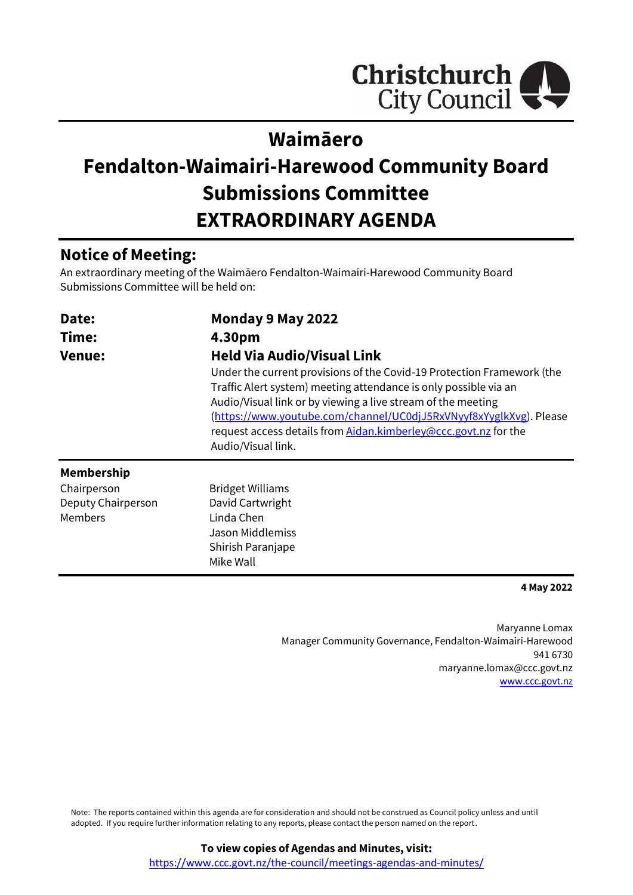

## **Waimāero**

# **Fendalton-Waimairi-Harewood Community Board Submissions Committee EXTRAORDINARY AGENDA**

### **Notice of Meeting:**

An extraordinary meeting of the Waimāero Fendalton-Waimairi-Harewood Community Board Submissions Committee will be held on:

| Date:              | Monday 9 May 2022                                                                                                                                                                                                                                                                                                                                                                                              |
|--------------------|----------------------------------------------------------------------------------------------------------------------------------------------------------------------------------------------------------------------------------------------------------------------------------------------------------------------------------------------------------------------------------------------------------------|
| Time:              | 4.30pm                                                                                                                                                                                                                                                                                                                                                                                                         |
| <b>Venue:</b>      | <b>Held Via Audio/Visual Link</b><br>Under the current provisions of the Covid-19 Protection Framework (the<br>Traffic Alert system) meeting attendance is only possible via an<br>Audio/Visual link or by viewing a live stream of the meeting<br>(https://www.youtube.com/channel/UC0djJ5RxVNyyf8xYyglkXvg). Please<br>request access details from Aidan.kimberley@ccc.govt.nz for the<br>Audio/Visual link. |
| <b>Membership</b>  |                                                                                                                                                                                                                                                                                                                                                                                                                |
| Chairperson        | <b>Bridget Williams</b>                                                                                                                                                                                                                                                                                                                                                                                        |
| Deputy Chairperson | David Cartwright                                                                                                                                                                                                                                                                                                                                                                                               |
| Members            | Linda Chen                                                                                                                                                                                                                                                                                                                                                                                                     |
|                    | Jason Middlemiss                                                                                                                                                                                                                                                                                                                                                                                               |
|                    | Shirish Paranjape                                                                                                                                                                                                                                                                                                                                                                                              |
|                    | Mike Wall                                                                                                                                                                                                                                                                                                                                                                                                      |

#### **4 May 2022**

Maryanne Lomax Manager Community Governance, Fendalton-Waimairi-Harewood 941 6730 maryanne.lomax@ccc.govt.nz [www.ccc.govt.nz](http://www.ccc.govt.nz/)

Note: The reports contained within this agenda are for consideration and should not be construed as Council policy unless and until adopted. If you require further information relating to any reports, please contact the person named on the report.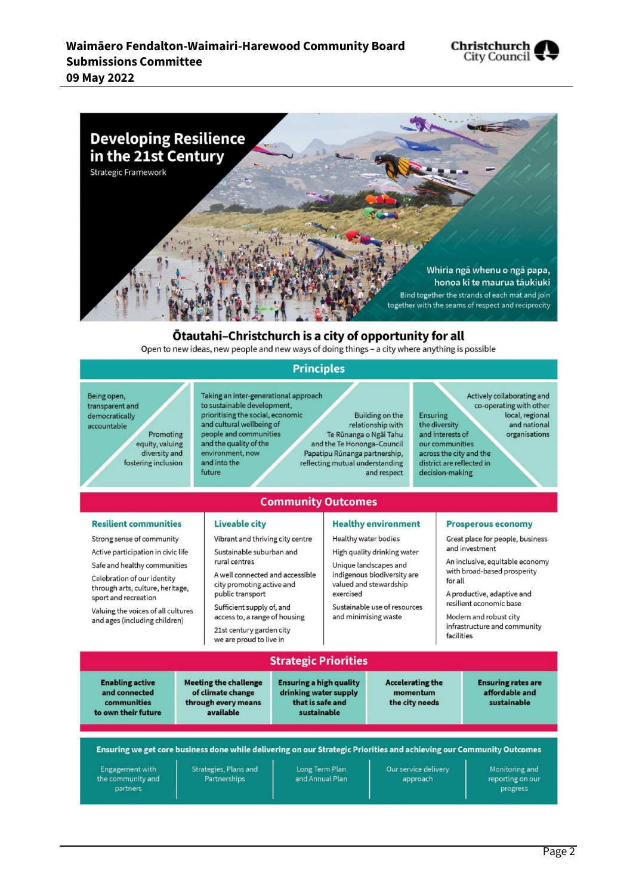



#### Otautahi-Christchurch is a city of opportunity for all

Open to new ideas, new people and new ways of doing things - a city where anything is possible

#### **Principles**

Being open, transparent and democratically accountable Promoting equity, valuing diversity and fostering inclusion

Strong sense of community

Active participation in civic life

Safe and healthy communities

through arts, culture, heritage,

Valuing the voices of all cultures

and ages (including children)

Celebration of our identity

sport and recreation

Taking an inter-generational approach to sustainable development, prioritising the social, economic and cultural wellbeing of people and communities and the quality of the environment, now and into the future

Building on the relationship with Te Rūnanga o Ngai Tahu and the Te Hononga-Council Papatipu Rūnanga partnership, reflecting mutual understanding and respect

Ensuring the diversity and interests of our communities across the city and the district are reflected in

Actively collaborating and co-operating with other local, regional and national organisations

decision-making

### **Community Outcomes**

#### **Resilient communities Liveable city**

Vibrant and thriving city centre Sustainable suburban and

rural centres A well connected and accessible city promoting active and public transport

Sufficient supply of, and access to, a range of housing 21st century garden city we are proud to live in

#### **Healthy environment**

Healthy water bodies

High quality drinking water Unique landscapes and indigenous biodiversity are valued and stewardship exercised

Sustainable use of resources and minimising waste

#### **Prosperous economy**

Great place for people, business and investment

An inclusive, equitable economy with broad-based prosperity for all

A productive, adaptive and resilient economic base

Modern and robust city infrastructure and community facilities

|                                                                               |                                                                                       | <b>Strategic Priorities</b>                                                                                          |                                                       |                                                            |
|-------------------------------------------------------------------------------|---------------------------------------------------------------------------------------|----------------------------------------------------------------------------------------------------------------------|-------------------------------------------------------|------------------------------------------------------------|
| <b>Enabling active</b><br>and connected<br>communities<br>to own their future | <b>Meeting the challenge</b><br>of climate change<br>through every means<br>available | <b>Ensuring a high quality</b><br>drinking water supply<br>that is safe and<br>sustainable                           | <b>Accelerating the</b><br>momentum<br>the city needs | <b>Ensuring rates are</b><br>affordable and<br>sustainable |
|                                                                               |                                                                                       |                                                                                                                      |                                                       |                                                            |
|                                                                               |                                                                                       | Ensuring we get core business done while delivering on our Strategic Priorities and achieving our Community Outcomes |                                                       |                                                            |
| Engagement with<br>the community and                                          | Strategies, Plans and<br>Partnerships                                                 | Long Term Plan<br>and Annual Plan                                                                                    | Our service delivery<br>approach                      | Monitoring and<br>reporting on our                         |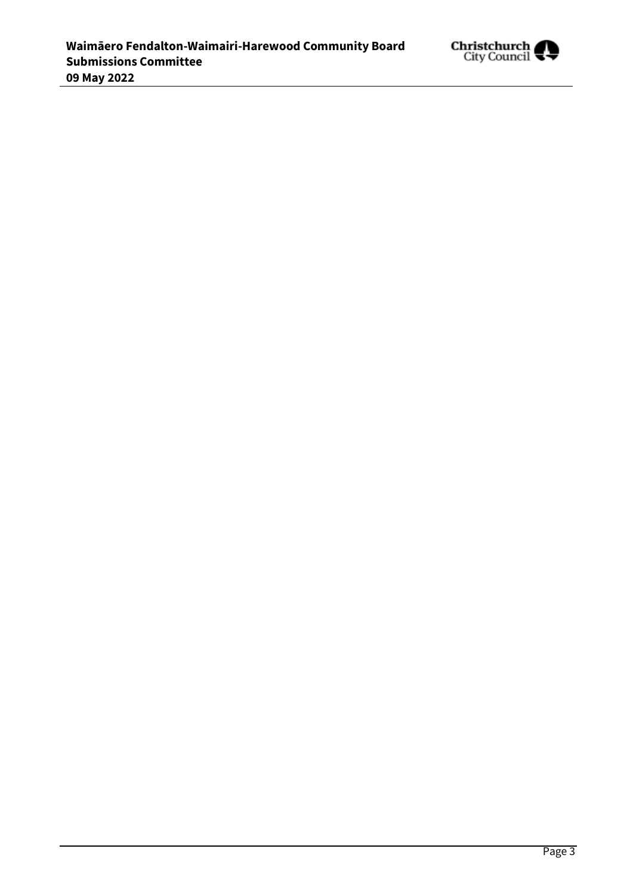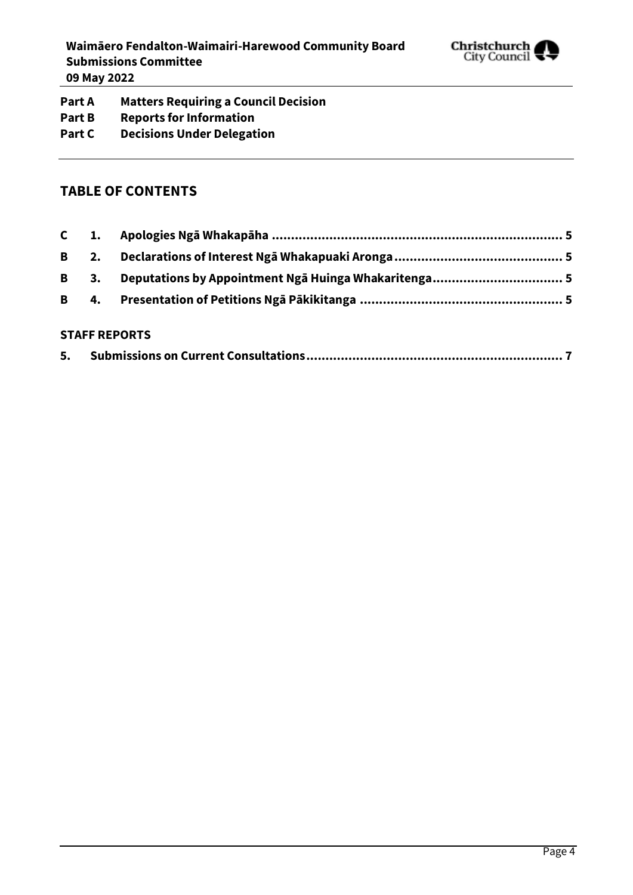

**Part A Matters Requiring a Council Decision Part B Reports for Information Part C Decisions Under Delegation**

#### **TABLE OF CONTENTS**

| <b>B</b> 2. |  |  |
|-------------|--|--|
| <b>B</b> 3. |  |  |
|             |  |  |
|             |  |  |

#### **STAFF REPORTS**

| J. |  |  |
|----|--|--|
|----|--|--|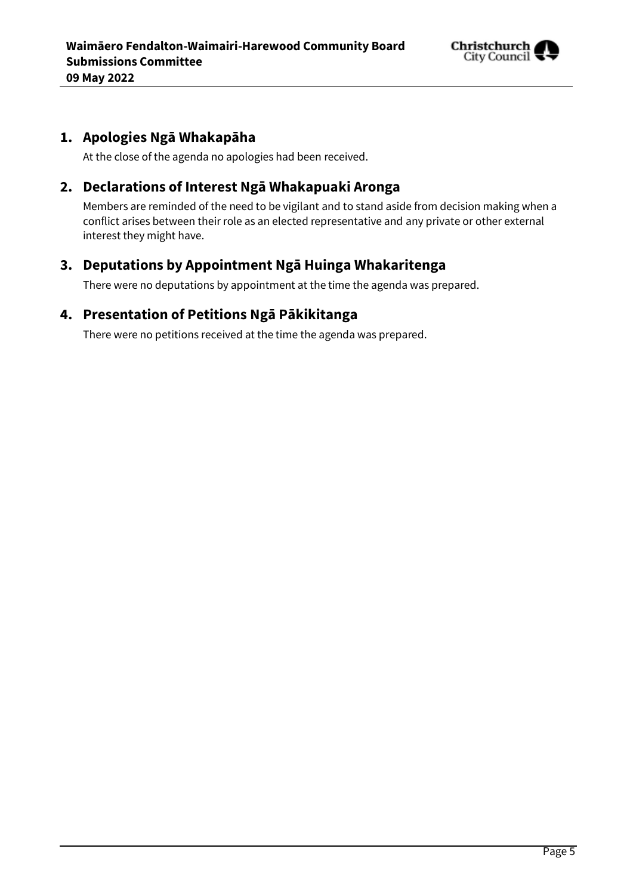

### <span id="page-4-0"></span>**1. Apologies Ngā Whakapāha**

At the close of the agenda no apologies had been received.

#### <span id="page-4-1"></span>**2. Declarations of Interest Ngā Whakapuaki Aronga**

Members are reminded of the need to be vigilant and to stand aside from decision making when a conflict arises between their role as an elected representative and any private or other external interest they might have.

### <span id="page-4-2"></span>**3. Deputations by Appointment Ngā Huinga Whakaritenga**

There were no deputations by appointment at the time the agenda was prepared.

### <span id="page-4-3"></span>**4. Presentation of Petitions Ngā Pākikitanga**

There were no petitions received at the time the agenda was prepared.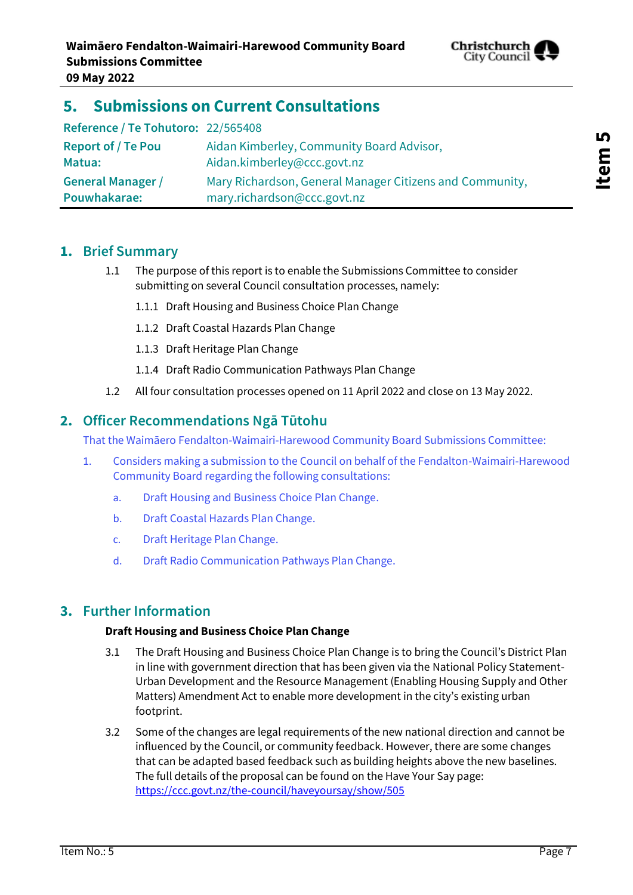

## <span id="page-6-0"></span>**5. Submissions on Current Consultations**

| Reference / Te Tohutoro: 22/565408 |                                                          |
|------------------------------------|----------------------------------------------------------|
| <b>Report of / Te Pou</b>          | Aidan Kimberley, Community Board Advisor,                |
| Matua:                             | Aidan.kimberley@ccc.govt.nz                              |
| <b>General Manager /</b>           | Mary Richardson, General Manager Citizens and Community, |
| Pouwhakarae:                       | mary.richardson@ccc.govt.nz                              |

#### **1. Brief Summary**

- 1.1 The purpose of this report is to enable the Submissions Committee to consider submitting on several Council consultation processes, namely:
	- 1.1.1 Draft Housing and Business Choice Plan Change
	- 1.1.2 Draft Coastal Hazards Plan Change
	- 1.1.3 Draft Heritage Plan Change
	- 1.1.4 Draft Radio Communication Pathways Plan Change
- 1.2 All four consultation processes opened on 11 April 2022 and close on 13 May 2022.

#### **2. Officer Recommendations Ngā Tūtohu**

That the Waimāero Fendalton-Waimairi-Harewood Community Board Submissions Committee:

- 1. Considers making a submission to the Council on behalf of the Fendalton-Waimairi-Harewood Community Board regarding the following consultations:
	- a. Draft Housing and Business Choice Plan Change.
	- b. Draft Coastal Hazards Plan Change.
	- c. Draft Heritage Plan Change.
	- d. Draft Radio Communication Pathways Plan Change.

### **3. Further Information**

#### **Draft Housing and Business Choice Plan Change**

- 3.1 The Draft Housing and Business Choice Plan Change is to bring the Council's District Plan in line with government direction that has been given via the [National Policy Statement-](https://environment.govt.nz/acts-and-regulations/national-policy-statements/national-policy-statement-urban-development/)[Urban Development](https://environment.govt.nz/acts-and-regulations/national-policy-statements/national-policy-statement-urban-development/) and the [Resource Management \(Enabling Housing Supply and Other](https://www.legislation.govt.nz/act/public/2021/0059/latest/LMS566049.html)  Matters) [Amendment Act](https://www.legislation.govt.nz/act/public/2021/0059/latest/LMS566049.html) to enable more development in the city's existing urban footprint.
- 3.2 Some of the changes are legal requirements of the new national direction and cannot be influenced by the Council, or community feedback. However, there are some changes that can be adapted based feedback such as building heights above the new baselines. The full details of the proposal can be found on the Have Your Say page: <https://ccc.govt.nz/the-council/haveyoursay/show/505>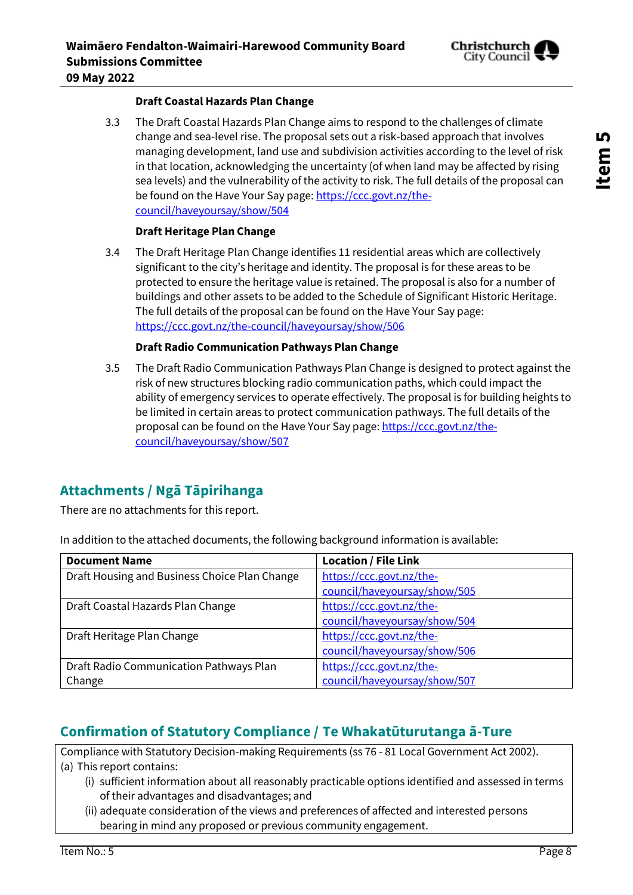

#### **Draft Coastal Hazards Plan Change**

3.3 The Draft Coastal Hazards Plan Change aims to respond to the challenges of climate change and sea-level rise. The proposal sets out a risk-based approach that involves managing development, land use and subdivision activities according to the level of risk in that location, acknowledging the uncertainty (of when land may be affected by rising sea levels) and the vulnerability of the activity to risk. The full details of the proposal can be found on the Have Your Say page[: https://ccc.govt.nz/the](https://ccc.govt.nz/the-council/haveyoursay/show/504)[council/haveyoursay/show/504](https://ccc.govt.nz/the-council/haveyoursay/show/504)

#### **Draft Heritage Plan Change**

3.4 The Draft Heritage Plan Change identifies 11 residential areas which are collectively significant to the city's heritage and identity. The proposal is for these areas to be protected to ensure the heritage value is retained. The proposal is also for a number of buildings and other assets to be added to the Schedule of Significant Historic Heritage. The full details of the proposal can be found on the Have Your Say page: <https://ccc.govt.nz/the-council/haveyoursay/show/506>

#### **Draft Radio Communication Pathways Plan Change**

3.5 The Draft Radio Communication Pathways Plan Change is designed to protect against the risk of new structures blocking radio communication paths, which could impact the ability of emergency services to operate effectively. The proposal is for building heights to be limited in certain areas to protect communication pathways. The full details of the proposal can be found on the Have Your Say page[: https://ccc.govt.nz/the](https://ccc.govt.nz/the-council/haveyoursay/show/507)[council/haveyoursay/show/507](https://ccc.govt.nz/the-council/haveyoursay/show/507)

### **Attachments / Ngā Tāpirihanga**

There are no attachments for this report.

| <b>Document Name</b>                          | <b>Location / File Link</b>  |
|-----------------------------------------------|------------------------------|
| Draft Housing and Business Choice Plan Change | https://ccc.govt.nz/the-     |
|                                               | council/haveyoursay/show/505 |
| Draft Coastal Hazards Plan Change             | https://ccc.govt.nz/the-     |
|                                               | council/haveyoursay/show/504 |
| Draft Heritage Plan Change                    | https://ccc.govt.nz/the-     |
|                                               | council/haveyoursay/show/506 |
| Draft Radio Communication Pathways Plan       | https://ccc.govt.nz/the-     |
| Change                                        | council/haveyoursay/show/507 |

In addition to the attached documents, the following background information is available:

### **Confirmation of Statutory Compliance / Te Whakatūturutanga ā-Ture**

Compliance with Statutory Decision-making Requirements (ss 76 - 81 Local Government Act 2002). (a) This report contains:

- (i) sufficient information about all reasonably practicable options identified and assessed in terms of their advantages and disadvantages; and
- (ii) adequate consideration of the views and preferences of affected and interested persons bearing in mind any proposed or previous community engagement.